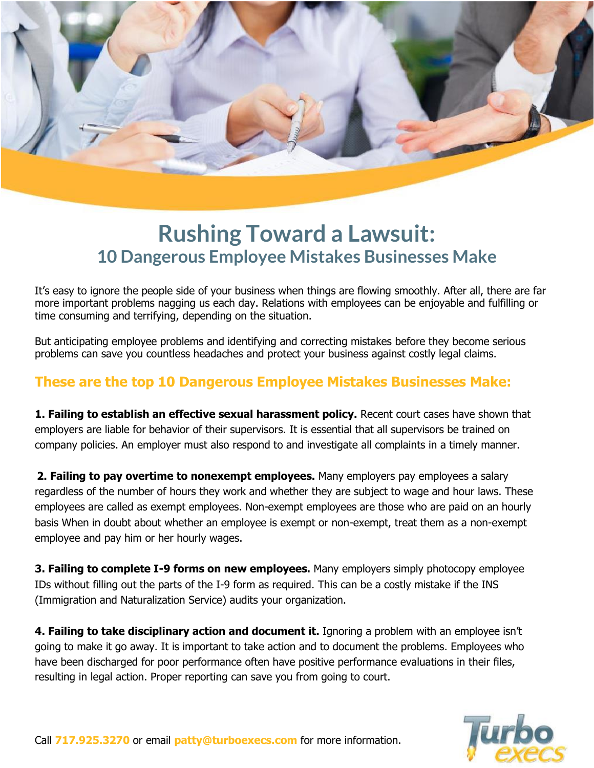

## **Rushing Toward a Lawsuit: 10 Dangerous Employee Mistakes Businesses Make**

It's easy to ignore the people side of your business when things are flowing smoothly. After all, there are far more important problems nagging us each day. Relations with employees can be enjoyable and fulfilling or time consuming and terrifying, depending on the situation.

But anticipating employee problems and identifying and correcting mistakes before they become serious problems can save you countless headaches and protect your business against costly legal claims.

## **These are the top 10 Dangerous Employee Mistakes Businesses Make:**

**1. Failing to establish an effective sexual harassment policy.** Recent court cases have shown that employers are liable for behavior of their supervisors. It is essential that all supervisors be trained on company policies. An employer must also respond to and investigate all complaints in a timely manner.

**2. Failing to pay overtime to nonexempt employees.** Many employers pay employees a salary regardless of the number of hours they work and whether they are subject to wage and hour laws. These employees are called as exempt employees. Non-exempt employees are those who are paid on an hourly basis When in doubt about whether an employee is exempt or non-exempt, treat them as a non-exempt employee and pay him or her hourly wages.

**3. Failing to complete I-9 forms on new employees.** Many employers simply photocopy employee IDs without filling out the parts of the I-9 form as required. This can be a costly mistake if the INS (Immigration and Naturalization Service) audits your organization.

**4. Failing to take disciplinary action and document it.** Ignoring a problem with an employee isn't going to make it go away. It is important to take action and to document the problems. Employees who have been discharged for poor performance often have positive performance evaluations in their files, resulting in legal action. Proper reporting can save you from going to court.